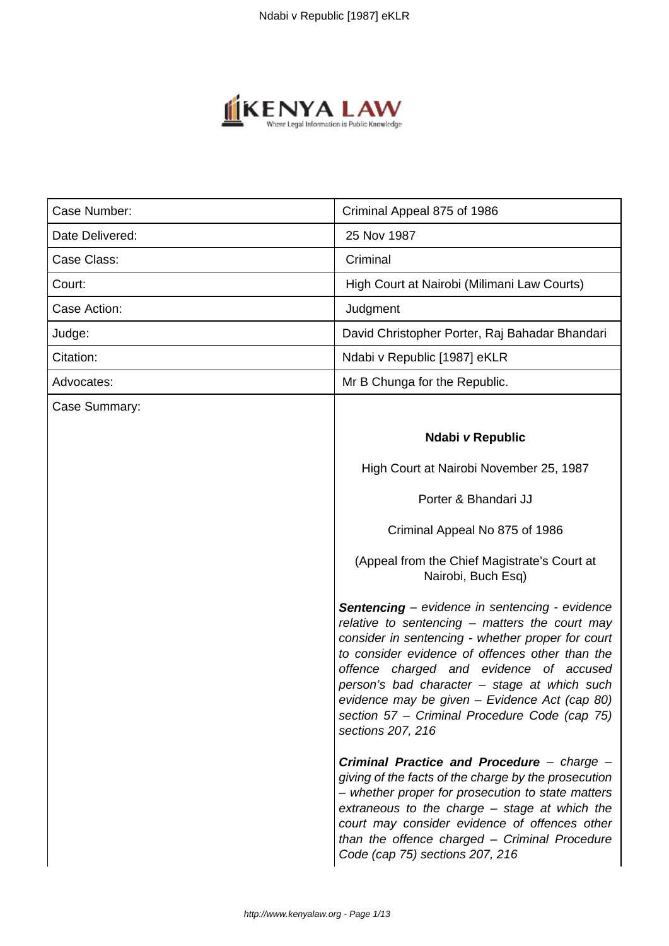

| Case Number:    | Criminal Appeal 875 of 1986                                                                                                                                                                                                                                                                                                                                                                                                       |
|-----------------|-----------------------------------------------------------------------------------------------------------------------------------------------------------------------------------------------------------------------------------------------------------------------------------------------------------------------------------------------------------------------------------------------------------------------------------|
| Date Delivered: | 25 Nov 1987                                                                                                                                                                                                                                                                                                                                                                                                                       |
| Case Class:     | Criminal                                                                                                                                                                                                                                                                                                                                                                                                                          |
| Court:          | High Court at Nairobi (Milimani Law Courts)                                                                                                                                                                                                                                                                                                                                                                                       |
| Case Action:    | Judgment                                                                                                                                                                                                                                                                                                                                                                                                                          |
| Judge:          | David Christopher Porter, Raj Bahadar Bhandari                                                                                                                                                                                                                                                                                                                                                                                    |
| Citation:       | Ndabi v Republic [1987] eKLR                                                                                                                                                                                                                                                                                                                                                                                                      |
| Advocates:      | Mr B Chunga for the Republic.                                                                                                                                                                                                                                                                                                                                                                                                     |
| Case Summary:   |                                                                                                                                                                                                                                                                                                                                                                                                                                   |
|                 | Ndabi v Republic                                                                                                                                                                                                                                                                                                                                                                                                                  |
|                 | High Court at Nairobi November 25, 1987                                                                                                                                                                                                                                                                                                                                                                                           |
|                 | Porter & Bhandari JJ                                                                                                                                                                                                                                                                                                                                                                                                              |
|                 | Criminal Appeal No 875 of 1986                                                                                                                                                                                                                                                                                                                                                                                                    |
|                 | (Appeal from the Chief Magistrate's Court at<br>Nairobi, Buch Esq)                                                                                                                                                                                                                                                                                                                                                                |
|                 | <b>Sentencing</b> – evidence in sentencing - evidence<br>relative to sentencing - matters the court may<br>consider in sentencing - whether proper for court<br>to consider evidence of offences other than the<br>offence charged and evidence of accused<br>person's bad character - stage at which such<br>evidence may be given - Evidence Act (cap 80)<br>section 57 – Criminal Procedure Code (cap 75)<br>sections 207, 216 |
|                 | Criminal Practice and Procedure - charge -<br>giving of the facts of the charge by the prosecution<br>- whether proper for prosecution to state matters<br>extraneous to the charge - stage at which the<br>court may consider evidence of offences other<br>than the offence charged - Criminal Procedure<br>Code (cap 75) sections 207, 216                                                                                     |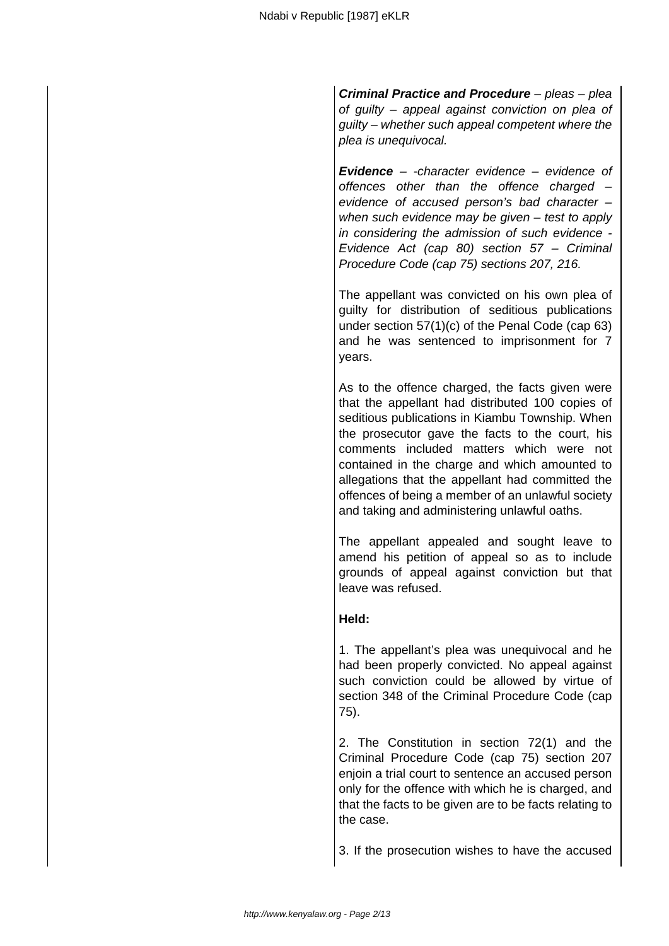**Criminal Practice and Procedure** – pleas – plea of guilty – appeal against conviction on plea of guilty – whether such appeal competent where the plea is unequivocal.

**Evidence** – -character evidence – evidence of offences other than the offence charged  $$ evidence of accused person's bad character – when such evidence may be given – test to apply in considering the admission of such evidence - Evidence Act (cap 80) section 57 – Criminal Procedure Code (cap 75) sections 207, 216.

The appellant was convicted on his own plea of guilty for distribution of seditious publications under section 57(1)(c) of the Penal Code (cap 63) and he was sentenced to imprisonment for 7 years.

As to the offence charged, the facts given were that the appellant had distributed 100 copies of seditious publications in Kiambu Township. When the prosecutor gave the facts to the court, his comments included matters which were not contained in the charge and which amounted to allegations that the appellant had committed the offences of being a member of an unlawful society and taking and administering unlawful oaths.

The appellant appealed and sought leave to amend his petition of appeal so as to include grounds of appeal against conviction but that leave was refused.

## **Held:**

1. The appellant's plea was unequivocal and he had been properly convicted. No appeal against such conviction could be allowed by virtue of section 348 of the Criminal Procedure Code (cap 75).

2. The Constitution in section 72(1) and the Criminal Procedure Code (cap 75) section 207 enjoin a trial court to sentence an accused person only for the offence with which he is charged, and that the facts to be given are to be facts relating to the case.

3. If the prosecution wishes to have the accused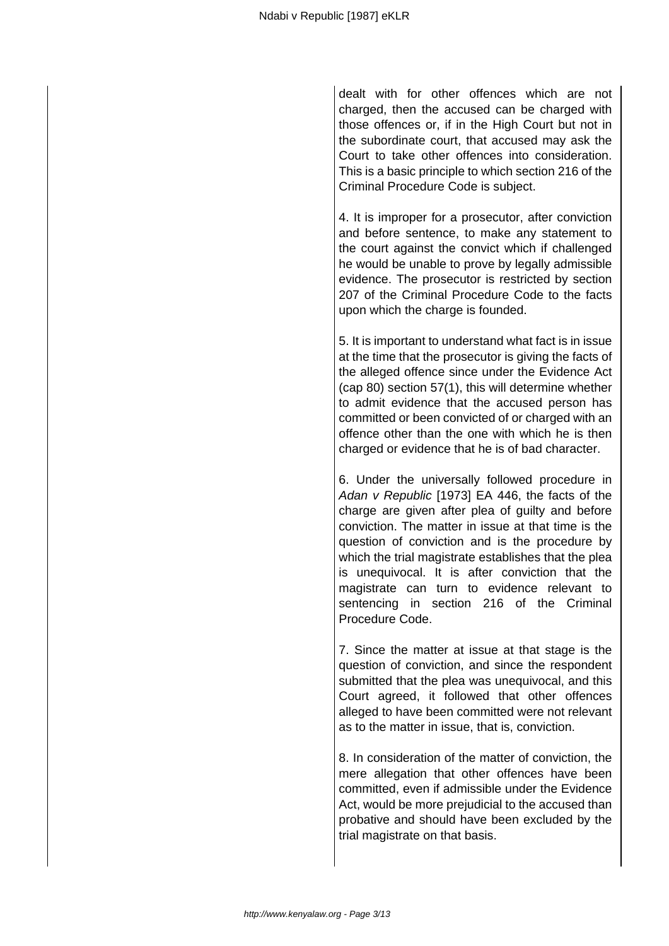dealt with for other offences which are not charged, then the accused can be charged with those offences or, if in the High Court but not in the subordinate court, that accused may ask the Court to take other offences into consideration. This is a basic principle to which section 216 of the Criminal Procedure Code is subject.

4. It is improper for a prosecutor, after conviction and before sentence, to make any statement to the court against the convict which if challenged he would be unable to prove by legally admissible evidence. The prosecutor is restricted by section 207 of the Criminal Procedure Code to the facts upon which the charge is founded.

5. It is important to understand what fact is in issue at the time that the prosecutor is giving the facts of the alleged offence since under the Evidence Act (cap 80) section 57(1), this will determine whether to admit evidence that the accused person has committed or been convicted of or charged with an offence other than the one with which he is then charged or evidence that he is of bad character.

6. Under the universally followed procedure in Adan v Republic [1973] EA 446, the facts of the charge are given after plea of guilty and before conviction. The matter in issue at that time is the question of conviction and is the procedure by which the trial magistrate establishes that the plea is unequivocal. It is after conviction that the magistrate can turn to evidence relevant to sentencing in section 216 of the Criminal Procedure Code.

7. Since the matter at issue at that stage is the question of conviction, and since the respondent submitted that the plea was unequivocal, and this Court agreed, it followed that other offences alleged to have been committed were not relevant as to the matter in issue, that is, conviction.

8. In consideration of the matter of conviction, the mere allegation that other offences have been committed, even if admissible under the Evidence Act, would be more prejudicial to the accused than probative and should have been excluded by the trial magistrate on that basis.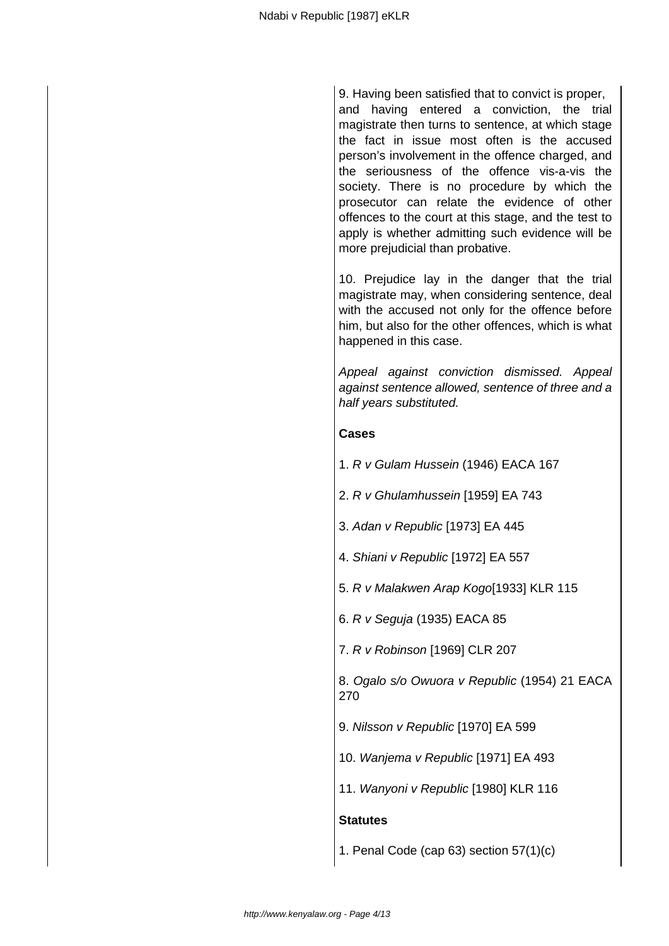9. Having been satisfied that to convict is proper, and having entered a conviction, the trial magistrate then turns to sentence, at which stage the fact in issue most often is the accused person's involvement in the offence charged, and the seriousness of the offence vis-a-vis the society. There is no procedure by which the prosecutor can relate the evidence of other offences to the court at this stage, and the test to apply is whether admitting such evidence will be more prejudicial than probative.

10. Prejudice lay in the danger that the trial magistrate may, when considering sentence, deal with the accused not only for the offence before him, but also for the other offences, which is what happened in this case.

Appeal against conviction dismissed. Appeal against sentence allowed, sentence of three and a half years substituted.

#### **Cases**

- 1. R v Gulam Hussein (1946) EACA 167
- 2. R v Ghulamhussein [1959] EA 743
- 3. Adan v Republic [1973] EA 445
- 4. Shiani v Republic [1972] EA 557
- 5. R v Malakwen Arap Kogo[1933] KLR 115
- 6. R v Seguja (1935) EACA 85
- 7. R v Robinson [1969] CLR 207

8. Ogalo s/o Owuora v Republic (1954) 21 EACA 270

- 9. Nilsson v Republic [1970] EA 599
- 10. Wanjema v Republic [1971] EA 493
- 11. Wanyoni v Republic [1980] KLR 116

#### **Statutes**

1. Penal Code (cap 63) section 57(1)(c)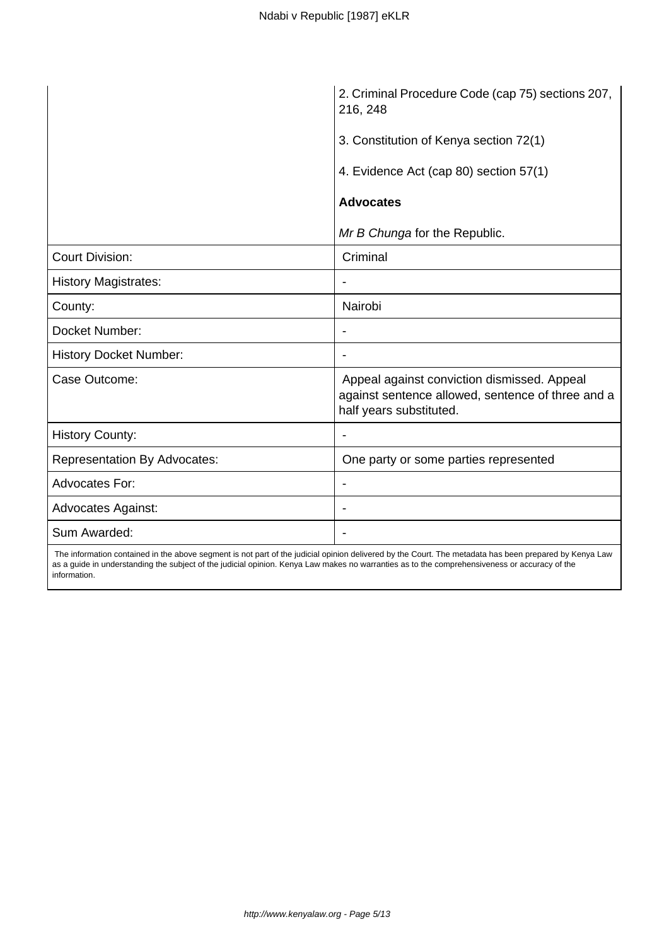|                                     | 2. Criminal Procedure Code (cap 75) sections 207,<br>216, 248                                                               |
|-------------------------------------|-----------------------------------------------------------------------------------------------------------------------------|
|                                     | 3. Constitution of Kenya section 72(1)                                                                                      |
|                                     | 4. Evidence Act (cap 80) section 57(1)                                                                                      |
|                                     | <b>Advocates</b>                                                                                                            |
|                                     | Mr B Chunga for the Republic.                                                                                               |
| <b>Court Division:</b>              | Criminal                                                                                                                    |
| <b>History Magistrates:</b>         |                                                                                                                             |
| County:                             | Nairobi                                                                                                                     |
| Docket Number:                      |                                                                                                                             |
| <b>History Docket Number:</b>       |                                                                                                                             |
| Case Outcome:                       | Appeal against conviction dismissed. Appeal<br>against sentence allowed, sentence of three and a<br>half years substituted. |
| <b>History County:</b>              | $\overline{\phantom{a}}$                                                                                                    |
| <b>Representation By Advocates:</b> | One party or some parties represented                                                                                       |
| <b>Advocates For:</b>               | $\overline{\phantom{a}}$                                                                                                    |
| <b>Advocates Against:</b>           | $\overline{\phantom{a}}$                                                                                                    |
| Sum Awarded:                        | $\overline{\phantom{a}}$                                                                                                    |

 The information contained in the above segment is not part of the judicial opinion delivered by the Court. The metadata has been prepared by Kenya Law as a guide in understanding the subject of the judicial opinion. Kenya Law makes no warranties as to the comprehensiveness or accuracy of the information.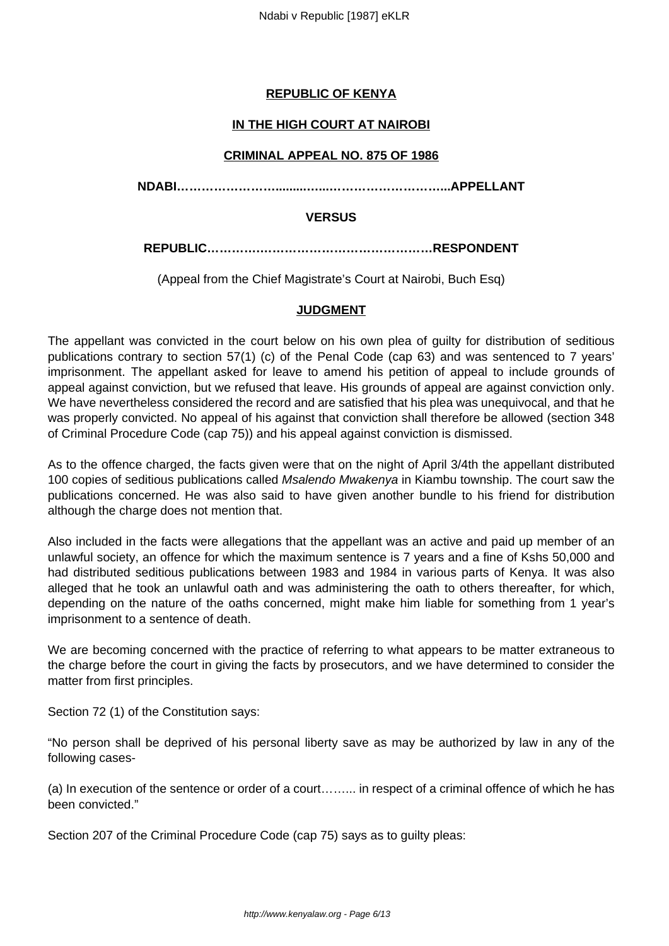# **REPUBLIC OF KENYA**

# **IN THE HIGH COURT AT NAIROBI**

## **CRIMINAL APPEAL NO. 875 OF 1986**

**NDABI…………………….........…...………………………...APPELLANT**

#### **VERSUS**

**REPUBLIC………….……………………………………RESPONDENT**

(Appeal from the Chief Magistrate's Court at Nairobi, Buch Esq)

## **JUDGMENT**

The appellant was convicted in the court below on his own plea of guilty for distribution of seditious publications contrary to section 57(1) (c) of the Penal Code (cap 63) and was sentenced to 7 years' imprisonment. The appellant asked for leave to amend his petition of appeal to include grounds of appeal against conviction, but we refused that leave. His grounds of appeal are against conviction only. We have nevertheless considered the record and are satisfied that his plea was unequivocal, and that he was properly convicted. No appeal of his against that conviction shall therefore be allowed (section 348 of Criminal Procedure Code (cap 75)) and his appeal against conviction is dismissed.

As to the offence charged, the facts given were that on the night of April 3/4th the appellant distributed 100 copies of seditious publications called Msalendo Mwakenya in Kiambu township. The court saw the publications concerned. He was also said to have given another bundle to his friend for distribution although the charge does not mention that.

Also included in the facts were allegations that the appellant was an active and paid up member of an unlawful society, an offence for which the maximum sentence is 7 years and a fine of Kshs 50,000 and had distributed seditious publications between 1983 and 1984 in various parts of Kenya. It was also alleged that he took an unlawful oath and was administering the oath to others thereafter, for which, depending on the nature of the oaths concerned, might make him liable for something from 1 year's imprisonment to a sentence of death.

We are becoming concerned with the practice of referring to what appears to be matter extraneous to the charge before the court in giving the facts by prosecutors, and we have determined to consider the matter from first principles.

Section 72 (1) of the Constitution says:

"No person shall be deprived of his personal liberty save as may be authorized by law in any of the following cases-

(a) In execution of the sentence or order of a court……... in respect of a criminal offence of which he has been convicted."

Section 207 of the Criminal Procedure Code (cap 75) says as to guilty pleas: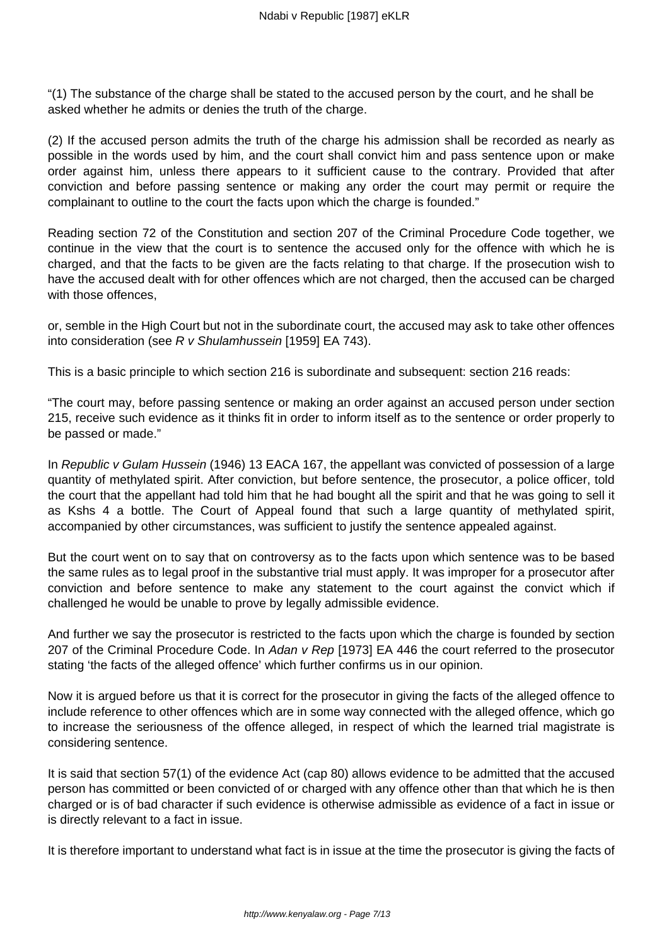"(1) The substance of the charge shall be stated to the accused person by the court, and he shall be asked whether he admits or denies the truth of the charge.

(2) If the accused person admits the truth of the charge his admission shall be recorded as nearly as possible in the words used by him, and the court shall convict him and pass sentence upon or make order against him, unless there appears to it sufficient cause to the contrary. Provided that after conviction and before passing sentence or making any order the court may permit or require the complainant to outline to the court the facts upon which the charge is founded."

Reading section 72 of the Constitution and section 207 of the Criminal Procedure Code together, we continue in the view that the court is to sentence the accused only for the offence with which he is charged, and that the facts to be given are the facts relating to that charge. If the prosecution wish to have the accused dealt with for other offences which are not charged, then the accused can be charged with those offences.

or, semble in the High Court but not in the subordinate court, the accused may ask to take other offences into consideration (see R v Shulamhussein [1959] EA 743).

This is a basic principle to which section 216 is subordinate and subsequent: section 216 reads:

"The court may, before passing sentence or making an order against an accused person under section 215, receive such evidence as it thinks fit in order to inform itself as to the sentence or order properly to be passed or made."

In Republic v Gulam Hussein (1946) 13 EACA 167, the appellant was convicted of possession of a large quantity of methylated spirit. After conviction, but before sentence, the prosecutor, a police officer, told the court that the appellant had told him that he had bought all the spirit and that he was going to sell it as Kshs 4 a bottle. The Court of Appeal found that such a large quantity of methylated spirit, accompanied by other circumstances, was sufficient to justify the sentence appealed against.

But the court went on to say that on controversy as to the facts upon which sentence was to be based the same rules as to legal proof in the substantive trial must apply. It was improper for a prosecutor after conviction and before sentence to make any statement to the court against the convict which if challenged he would be unable to prove by legally admissible evidence.

And further we say the prosecutor is restricted to the facts upon which the charge is founded by section 207 of the Criminal Procedure Code. In Adan v Rep [1973] EA 446 the court referred to the prosecutor stating 'the facts of the alleged offence' which further confirms us in our opinion.

Now it is argued before us that it is correct for the prosecutor in giving the facts of the alleged offence to include reference to other offences which are in some way connected with the alleged offence, which go to increase the seriousness of the offence alleged, in respect of which the learned trial magistrate is considering sentence.

It is said that section 57(1) of the evidence Act (cap 80) allows evidence to be admitted that the accused person has committed or been convicted of or charged with any offence other than that which he is then charged or is of bad character if such evidence is otherwise admissible as evidence of a fact in issue or is directly relevant to a fact in issue.

It is therefore important to understand what fact is in issue at the time the prosecutor is giving the facts of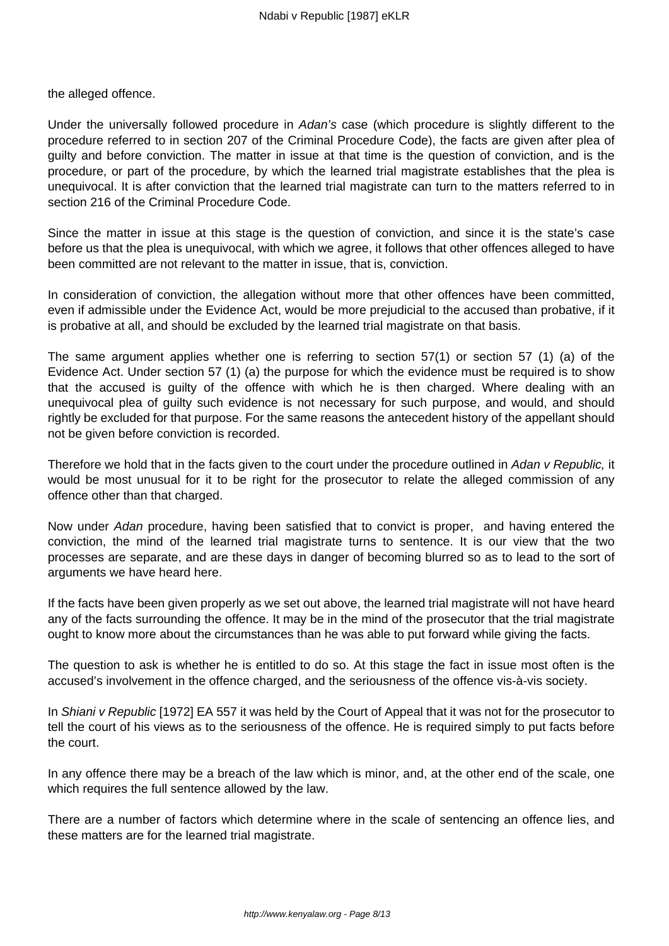the alleged offence.

Under the universally followed procedure in Adan's case (which procedure is slightly different to the procedure referred to in section 207 of the Criminal Procedure Code), the facts are given after plea of guilty and before conviction. The matter in issue at that time is the question of conviction, and is the procedure, or part of the procedure, by which the learned trial magistrate establishes that the plea is unequivocal. It is after conviction that the learned trial magistrate can turn to the matters referred to in section 216 of the Criminal Procedure Code.

Since the matter in issue at this stage is the question of conviction, and since it is the state's case before us that the plea is unequivocal, with which we agree, it follows that other offences alleged to have been committed are not relevant to the matter in issue, that is, conviction.

In consideration of conviction, the allegation without more that other offences have been committed, even if admissible under the Evidence Act, would be more prejudicial to the accused than probative, if it is probative at all, and should be excluded by the learned trial magistrate on that basis.

The same argument applies whether one is referring to section 57(1) or section 57 (1) (a) of the Evidence Act. Under section 57 (1) (a) the purpose for which the evidence must be required is to show that the accused is guilty of the offence with which he is then charged. Where dealing with an unequivocal plea of guilty such evidence is not necessary for such purpose, and would, and should rightly be excluded for that purpose. For the same reasons the antecedent history of the appellant should not be given before conviction is recorded.

Therefore we hold that in the facts given to the court under the procedure outlined in Adan v Republic, it would be most unusual for it to be right for the prosecutor to relate the alleged commission of any offence other than that charged.

Now under Adan procedure, having been satisfied that to convict is proper, and having entered the conviction, the mind of the learned trial magistrate turns to sentence. It is our view that the two processes are separate, and are these days in danger of becoming blurred so as to lead to the sort of arguments we have heard here.

If the facts have been given properly as we set out above, the learned trial magistrate will not have heard any of the facts surrounding the offence. It may be in the mind of the prosecutor that the trial magistrate ought to know more about the circumstances than he was able to put forward while giving the facts.

The question to ask is whether he is entitled to do so. At this stage the fact in issue most often is the accused's involvement in the offence charged, and the seriousness of the offence vis-à-vis society.

In Shiani v Republic [1972] EA 557 it was held by the Court of Appeal that it was not for the prosecutor to tell the court of his views as to the seriousness of the offence. He is required simply to put facts before the court.

In any offence there may be a breach of the law which is minor, and, at the other end of the scale, one which requires the full sentence allowed by the law.

There are a number of factors which determine where in the scale of sentencing an offence lies, and these matters are for the learned trial magistrate.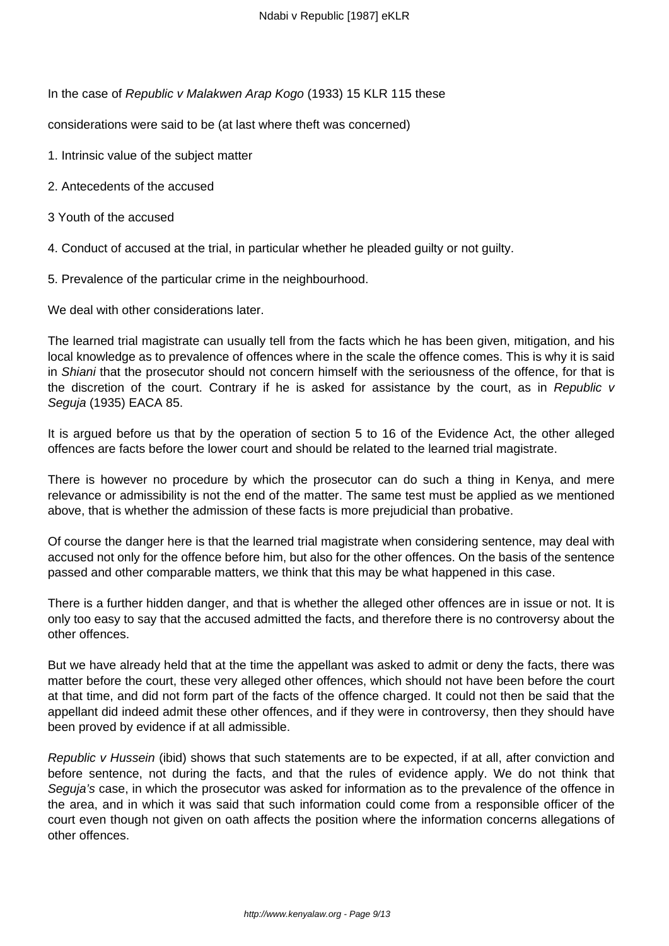In the case of Republic v Malakwen Arap Kogo (1933) 15 KLR 115 these

considerations were said to be (at last where theft was concerned)

- 1. Intrinsic value of the subject matter
- 2. Antecedents of the accused
- 3 Youth of the accused

4. Conduct of accused at the trial, in particular whether he pleaded guilty or not guilty.

5. Prevalence of the particular crime in the neighbourhood.

We deal with other considerations later.

The learned trial magistrate can usually tell from the facts which he has been given, mitigation, and his local knowledge as to prevalence of offences where in the scale the offence comes. This is why it is said in Shiani that the prosecutor should not concern himself with the seriousness of the offence, for that is the discretion of the court. Contrary if he is asked for assistance by the court, as in Republic v Seguja (1935) EACA 85.

It is argued before us that by the operation of section 5 to 16 of the Evidence Act, the other alleged offences are facts before the lower court and should be related to the learned trial magistrate.

There is however no procedure by which the prosecutor can do such a thing in Kenya, and mere relevance or admissibility is not the end of the matter. The same test must be applied as we mentioned above, that is whether the admission of these facts is more prejudicial than probative.

Of course the danger here is that the learned trial magistrate when considering sentence, may deal with accused not only for the offence before him, but also for the other offences. On the basis of the sentence passed and other comparable matters, we think that this may be what happened in this case.

There is a further hidden danger, and that is whether the alleged other offences are in issue or not. It is only too easy to say that the accused admitted the facts, and therefore there is no controversy about the other offences.

But we have already held that at the time the appellant was asked to admit or deny the facts, there was matter before the court, these very alleged other offences, which should not have been before the court at that time, and did not form part of the facts of the offence charged. It could not then be said that the appellant did indeed admit these other offences, and if they were in controversy, then they should have been proved by evidence if at all admissible.

Republic v Hussein (ibid) shows that such statements are to be expected, if at all, after conviction and before sentence, not during the facts, and that the rules of evidence apply. We do not think that Seguja's case, in which the prosecutor was asked for information as to the prevalence of the offence in the area, and in which it was said that such information could come from a responsible officer of the court even though not given on oath affects the position where the information concerns allegations of other offences.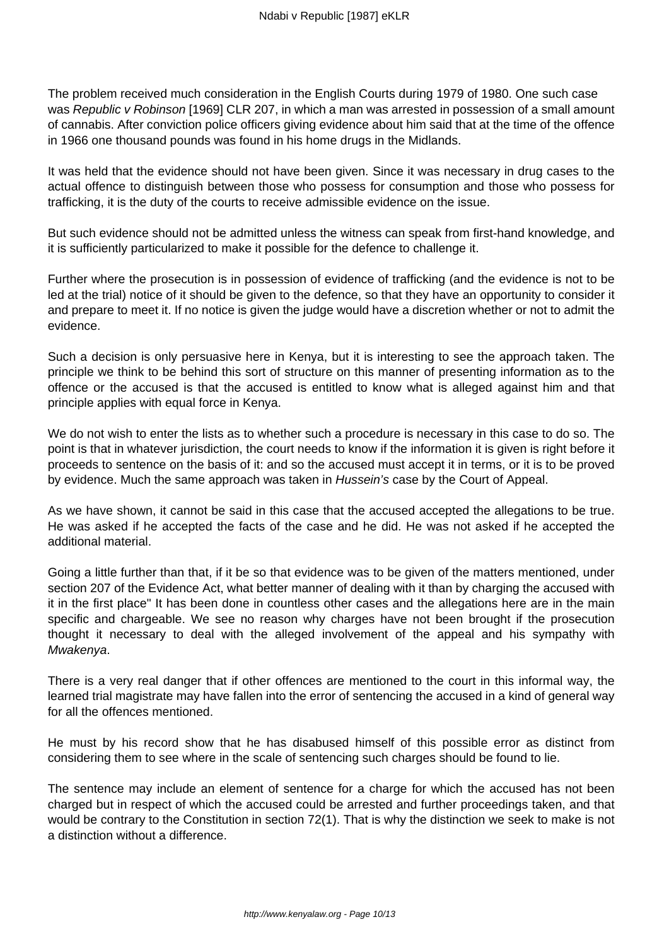The problem received much consideration in the English Courts during 1979 of 1980. One such case was Republic v Robinson [1969] CLR 207, in which a man was arrested in possession of a small amount of cannabis. After conviction police officers giving evidence about him said that at the time of the offence in 1966 one thousand pounds was found in his home drugs in the Midlands.

It was held that the evidence should not have been given. Since it was necessary in drug cases to the actual offence to distinguish between those who possess for consumption and those who possess for trafficking, it is the duty of the courts to receive admissible evidence on the issue.

But such evidence should not be admitted unless the witness can speak from first-hand knowledge, and it is sufficiently particularized to make it possible for the defence to challenge it.

Further where the prosecution is in possession of evidence of trafficking (and the evidence is not to be led at the trial) notice of it should be given to the defence, so that they have an opportunity to consider it and prepare to meet it. If no notice is given the judge would have a discretion whether or not to admit the evidence.

Such a decision is only persuasive here in Kenya, but it is interesting to see the approach taken. The principle we think to be behind this sort of structure on this manner of presenting information as to the offence or the accused is that the accused is entitled to know what is alleged against him and that principle applies with equal force in Kenya.

We do not wish to enter the lists as to whether such a procedure is necessary in this case to do so. The point is that in whatever jurisdiction, the court needs to know if the information it is given is right before it proceeds to sentence on the basis of it: and so the accused must accept it in terms, or it is to be proved by evidence. Much the same approach was taken in Hussein's case by the Court of Appeal.

As we have shown, it cannot be said in this case that the accused accepted the allegations to be true. He was asked if he accepted the facts of the case and he did. He was not asked if he accepted the additional material.

Going a little further than that, if it be so that evidence was to be given of the matters mentioned, under section 207 of the Evidence Act, what better manner of dealing with it than by charging the accused with it in the first place" It has been done in countless other cases and the allegations here are in the main specific and chargeable. We see no reason why charges have not been brought if the prosecution thought it necessary to deal with the alleged involvement of the appeal and his sympathy with Mwakenya.

There is a very real danger that if other offences are mentioned to the court in this informal way, the learned trial magistrate may have fallen into the error of sentencing the accused in a kind of general way for all the offences mentioned.

He must by his record show that he has disabused himself of this possible error as distinct from considering them to see where in the scale of sentencing such charges should be found to lie.

The sentence may include an element of sentence for a charge for which the accused has not been charged but in respect of which the accused could be arrested and further proceedings taken, and that would be contrary to the Constitution in section 72(1). That is why the distinction we seek to make is not a distinction without a difference.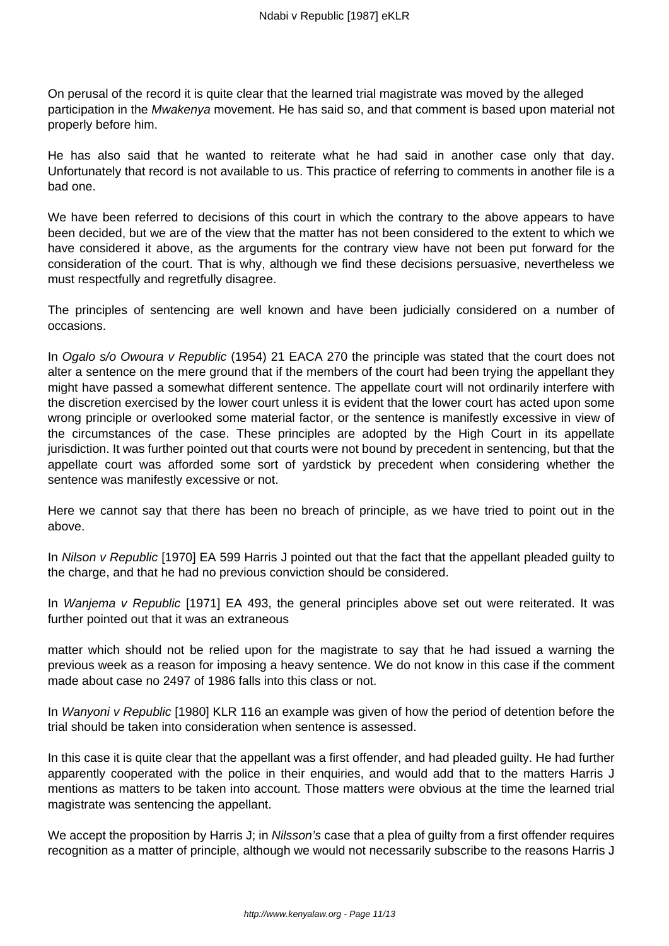On perusal of the record it is quite clear that the learned trial magistrate was moved by the alleged participation in the Mwakenya movement. He has said so, and that comment is based upon material not properly before him.

He has also said that he wanted to reiterate what he had said in another case only that day. Unfortunately that record is not available to us. This practice of referring to comments in another file is a bad one.

We have been referred to decisions of this court in which the contrary to the above appears to have been decided, but we are of the view that the matter has not been considered to the extent to which we have considered it above, as the arguments for the contrary view have not been put forward for the consideration of the court. That is why, although we find these decisions persuasive, nevertheless we must respectfully and regretfully disagree.

The principles of sentencing are well known and have been judicially considered on a number of occasions.

In Ogalo s/o Owoura v Republic (1954) 21 EACA 270 the principle was stated that the court does not alter a sentence on the mere ground that if the members of the court had been trying the appellant they might have passed a somewhat different sentence. The appellate court will not ordinarily interfere with the discretion exercised by the lower court unless it is evident that the lower court has acted upon some wrong principle or overlooked some material factor, or the sentence is manifestly excessive in view of the circumstances of the case. These principles are adopted by the High Court in its appellate jurisdiction. It was further pointed out that courts were not bound by precedent in sentencing, but that the appellate court was afforded some sort of yardstick by precedent when considering whether the sentence was manifestly excessive or not.

Here we cannot say that there has been no breach of principle, as we have tried to point out in the above.

In Nilson v Republic [1970] EA 599 Harris J pointed out that the fact that the appellant pleaded guilty to the charge, and that he had no previous conviction should be considered.

In *Wanjema v Republic* [1971] EA 493, the general principles above set out were reiterated. It was further pointed out that it was an extraneous

matter which should not be relied upon for the magistrate to say that he had issued a warning the previous week as a reason for imposing a heavy sentence. We do not know in this case if the comment made about case no 2497 of 1986 falls into this class or not.

In Wanyoni v Republic [1980] KLR 116 an example was given of how the period of detention before the trial should be taken into consideration when sentence is assessed.

In this case it is quite clear that the appellant was a first offender, and had pleaded guilty. He had further apparently cooperated with the police in their enquiries, and would add that to the matters Harris J mentions as matters to be taken into account. Those matters were obvious at the time the learned trial magistrate was sentencing the appellant.

We accept the proposition by Harris J; in Nilsson's case that a plea of quilty from a first offender requires recognition as a matter of principle, although we would not necessarily subscribe to the reasons Harris J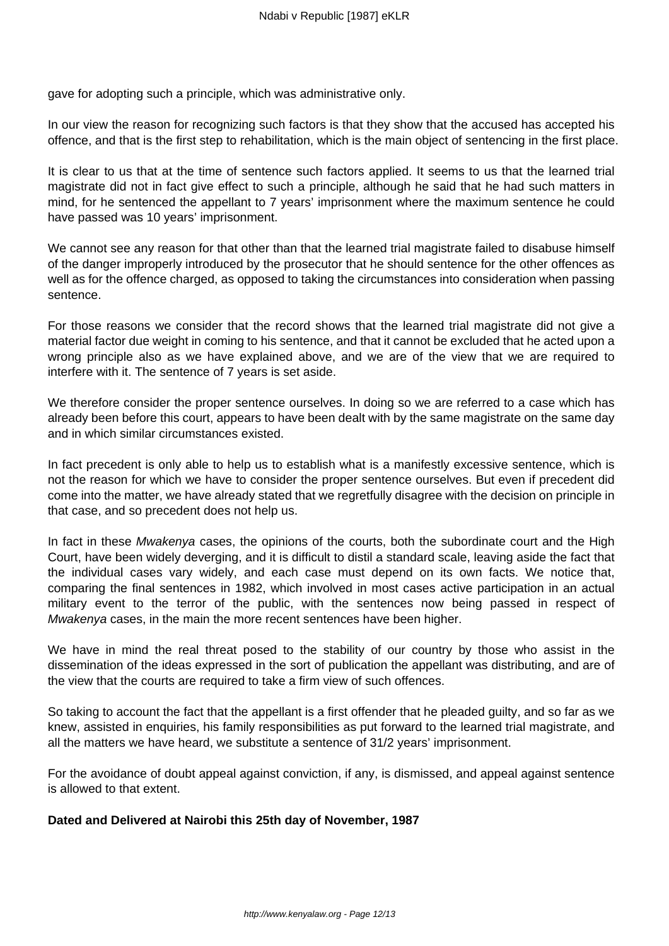gave for adopting such a principle, which was administrative only.

In our view the reason for recognizing such factors is that they show that the accused has accepted his offence, and that is the first step to rehabilitation, which is the main object of sentencing in the first place.

It is clear to us that at the time of sentence such factors applied. It seems to us that the learned trial magistrate did not in fact give effect to such a principle, although he said that he had such matters in mind, for he sentenced the appellant to 7 years' imprisonment where the maximum sentence he could have passed was 10 years' imprisonment.

We cannot see any reason for that other than that the learned trial magistrate failed to disabuse himself of the danger improperly introduced by the prosecutor that he should sentence for the other offences as well as for the offence charged, as opposed to taking the circumstances into consideration when passing sentence.

For those reasons we consider that the record shows that the learned trial magistrate did not give a material factor due weight in coming to his sentence, and that it cannot be excluded that he acted upon a wrong principle also as we have explained above, and we are of the view that we are required to interfere with it. The sentence of 7 years is set aside.

We therefore consider the proper sentence ourselves. In doing so we are referred to a case which has already been before this court, appears to have been dealt with by the same magistrate on the same day and in which similar circumstances existed.

In fact precedent is only able to help us to establish what is a manifestly excessive sentence, which is not the reason for which we have to consider the proper sentence ourselves. But even if precedent did come into the matter, we have already stated that we regretfully disagree with the decision on principle in that case, and so precedent does not help us.

In fact in these Mwakenya cases, the opinions of the courts, both the subordinate court and the High Court, have been widely deverging, and it is difficult to distil a standard scale, leaving aside the fact that the individual cases vary widely, and each case must depend on its own facts. We notice that, comparing the final sentences in 1982, which involved in most cases active participation in an actual military event to the terror of the public, with the sentences now being passed in respect of Mwakenya cases, in the main the more recent sentences have been higher.

We have in mind the real threat posed to the stability of our country by those who assist in the dissemination of the ideas expressed in the sort of publication the appellant was distributing, and are of the view that the courts are required to take a firm view of such offences.

So taking to account the fact that the appellant is a first offender that he pleaded guilty, and so far as we knew, assisted in enquiries, his family responsibilities as put forward to the learned trial magistrate, and all the matters we have heard, we substitute a sentence of 31/2 years' imprisonment.

For the avoidance of doubt appeal against conviction, if any, is dismissed, and appeal against sentence is allowed to that extent.

## **Dated and Delivered at Nairobi this 25th day of November, 1987**